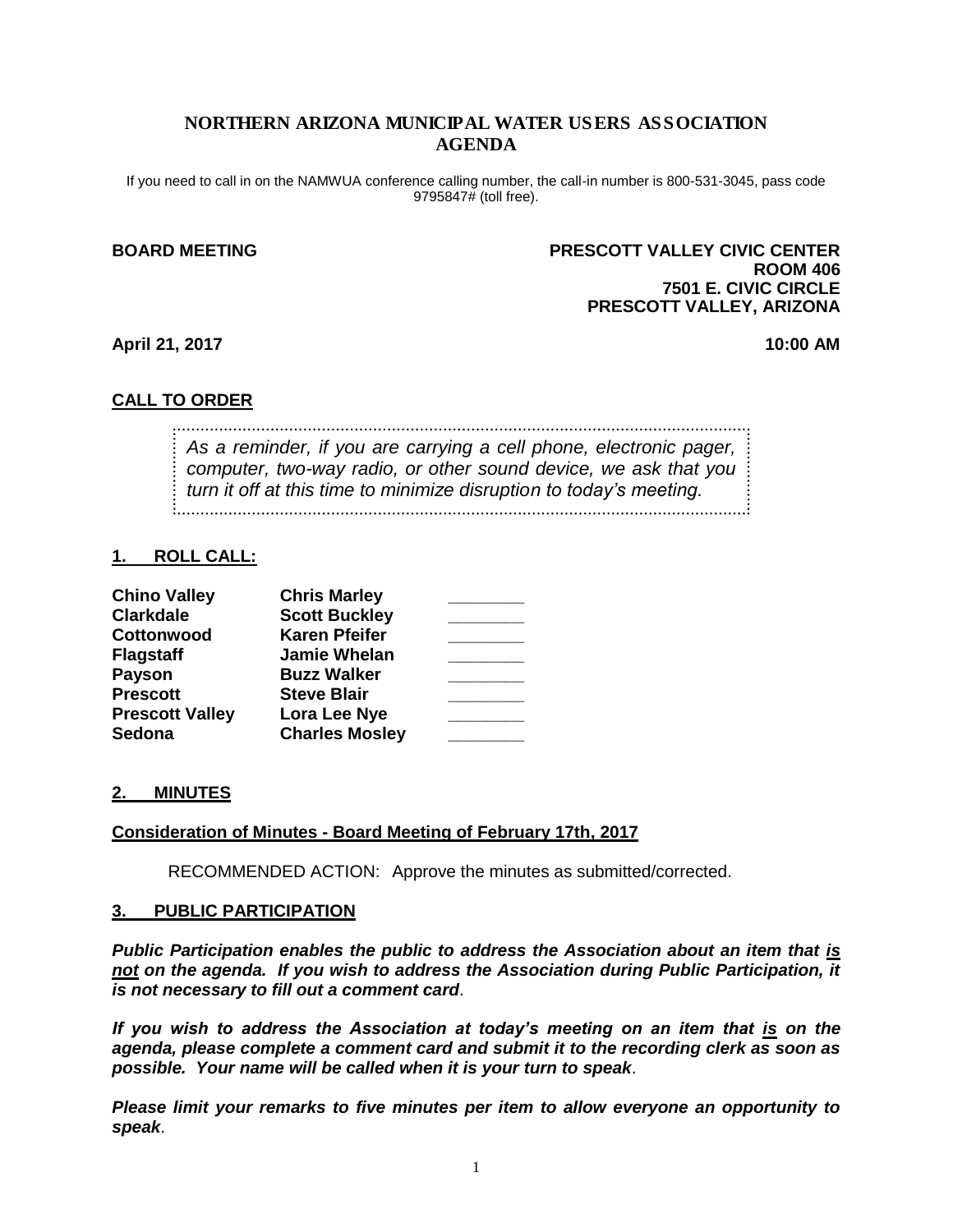## NORTHERN ARIZONA MUNICIPAL WATER USERS ASSOCIATION AGENDA

If you need to call in on the NAMWUA conference calling number, the call-in number is 800-531-3045, pass code 9795847# (toll free).

## **BOARD MEETING PRESCOTT VALLEY CIVIC CENTER ROOM 406 7501 E. CIVIC CIRCLE PRESCOTT VALLEY, ARIZONA**

**April 21, 2017 10:00 AM**

## **CALL TO ORDER**

*As a reminder, if you are carrying a cell phone, electronic pager, computer, two-way radio, or other sound device, we ask that you turn it off at this time to minimize disruption to today's meeting.*

## **1. ROLL CALL:**

| <b>Chino Valley</b>    | <b>Chris Marley</b>   |  |
|------------------------|-----------------------|--|
| <b>Clarkdale</b>       | <b>Scott Buckley</b>  |  |
| Cottonwood             | <b>Karen Pfeifer</b>  |  |
| <b>Flagstaff</b>       | <b>Jamie Whelan</b>   |  |
| <b>Payson</b>          | <b>Buzz Walker</b>    |  |
| <b>Prescott</b>        | <b>Steve Blair</b>    |  |
| <b>Prescott Valley</b> | Lora Lee Nye          |  |
| <b>Sedona</b>          | <b>Charles Mosley</b> |  |

## **2. MINUTES**

## **Consideration of Minutes - Board Meeting of February 17th, 2017**

RECOMMENDED ACTION: Approve the minutes as submitted/corrected.

### **3. PUBLIC PARTICIPATION**

*Public Participation enables the public to address the Association about an item that is not on the agenda. If you wish to address the Association during Public Participation, it is not necessary to fill out a comment card*.

*If you wish to address the Association at today's meeting on an item that is on the agenda, please complete a comment card and submit it to the recording clerk as soon as possible. Your name will be called when it is your turn to speak*.

*Please limit your remarks to five minutes per item to allow everyone an opportunity to speak*.